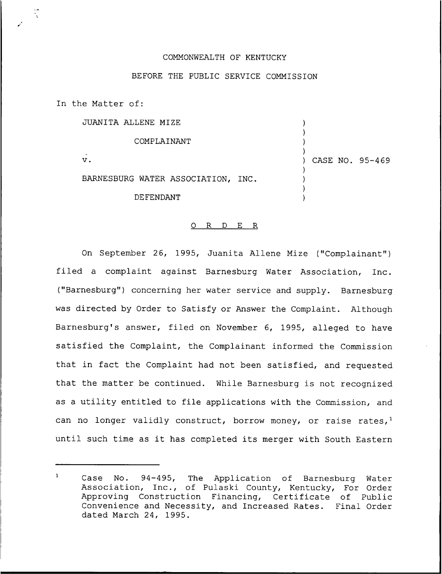## COMMONWEALTH OF KENTUCKY

## BEFORE THE PUBLIC SERVICE COMMISSION

In the Matter of:

JUANITA ALIENE MIZE

COMPLAINANT V. BARNESBURG WATER ASSOCIATION, INC. DE FENDANT  $\overline{\phantom{a}}$ ) ) ) CASE NO. 95-469 ) ) ) )

)

## O R D E R

On September 26, 1995, Juanita Aliene Mize ("Complainant" ) filed a complaint against Barnesburg Water Association, Inc. ("Barnesburg") concerning her water service and supply. Barnesburg was directed by Order to Satisfy or Answer the Complaint. Although Barnesburg's answer, filed on November 6, 1995, alleged to have satisfied the Complaint, the Complainant informed the Commission that in fact the Complaint had not been satisfied, and requested that the matter be continued. While Barnesburg is not recognized as a utility entitled to file applications with the Commission, and can no longer validly construct, borrow money, or raise rates,  $1$ until such time as it has completed its merger with South Eastern

 $\mathbf{1}$ Case No. 94-495, The Application of Barnesburg Water Association, Inc., of Pulaski County, Kentucky, For Order Approving Construction Financing, Certificate of Public Convenience and Necessity, and Increased Rates. Final Order dated March 24, 1995.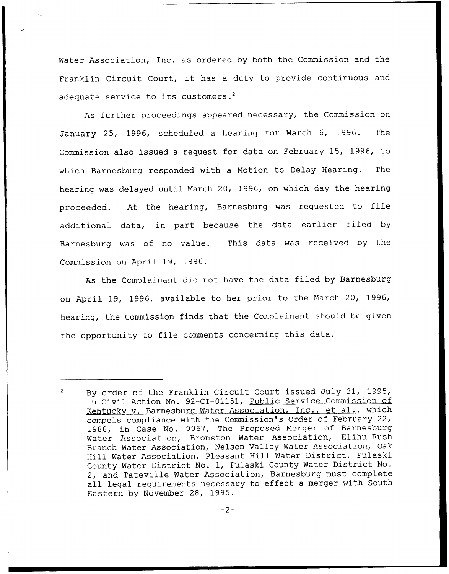Water Association, Inc. as ordered by both the Commission and the Franklin Circuit Court, it has <sup>a</sup> duty to provide continuous and adequate service to its customers.<sup>2</sup>

As further proceedings appeared necessary, the Commission on January 25, 1996, scheduled a hearing for March 6, 1996. The Commission also issued a request for data on February 15, 1996, to which Barnesburg responded with a Motion to Delay Hearing. The hearing was delayed until March 20, 1996, on which day the hearing proceeded. At the hearing, Barnesburg was requested to file additional data, in part because the data earlier filed by Barnesburg was of no value. This data was received by the Commission on April 19, 1996.

As the Complainant did not have the data filed by Barnesburg on April 19, 1996, available to her prior to the March 20, 1996, hearing, the Commission finds that the Complainant should be given the opportunity to file comments concerning this data.

 $\overline{2}$ By order of the Franklin Circuit Court issued July 31, 1995, in Civil Action No. 92-CI-01151, Public Service Commission of Kentucky v. Barnesburg Water Association, Inc., et al., which compels compliance with the Commission's Order of February 22, 1988, in Case No. 9967, The Proposed Merger of Barnesburg Water Association, Bronston Water Association, Elihu-Rush Branch Water Association, Nelson Valley Water Association, Oak Hill Water Association, Pleasant Hill Water District, Pulaski County Water District No. 1, Pulaski County Water District No. 2, and Tateville Water Association, Barnesburg must complete all legal requirements necessary to effect <sup>a</sup> merger with South Eastern by November 28, 1995.